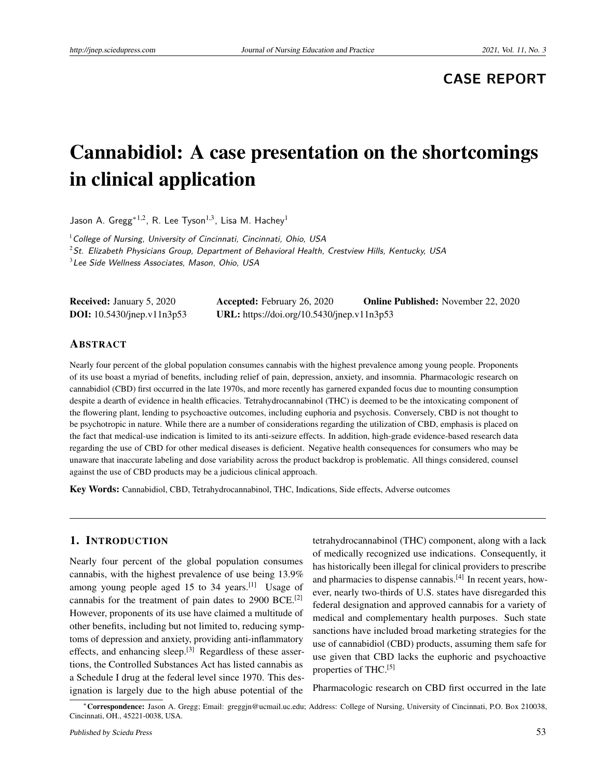# **CASE REPORT**

# Cannabidiol: A case presentation on the shortcomings in clinical application

Jason A. Gregg<sup>\*1,2</sup>, R. Lee Tyson<sup>1,3</sup>, Lisa M. Hachey<sup>1</sup>

 $1$  College of Nursing, University of Cincinnati, Cincinnati, Ohio, USA

 $2$ St. Elizabeth Physicians Group, Department of Behavioral Health, Crestview Hills, Kentucky, USA

 $3$  Lee Side Wellness Associates, Mason, Ohio, USA

Received: January 5, 2020 Accepted: February 26, 2020 Online Published: November 22, 2020 DOI: 10.5430/jnep.v11n3p53 URL: https://doi.org/10.5430/jnep.v11n3p53

#### ABSTRACT

Nearly four percent of the global population consumes cannabis with the highest prevalence among young people. Proponents of its use boast a myriad of benefits, including relief of pain, depression, anxiety, and insomnia. Pharmacologic research on cannabidiol (CBD) first occurred in the late 1970s, and more recently has garnered expanded focus due to mounting consumption despite a dearth of evidence in health efficacies. Tetrahydrocannabinol (THC) is deemed to be the intoxicating component of the flowering plant, lending to psychoactive outcomes, including euphoria and psychosis. Conversely, CBD is not thought to be psychotropic in nature. While there are a number of considerations regarding the utilization of CBD, emphasis is placed on the fact that medical-use indication is limited to its anti-seizure effects. In addition, high-grade evidence-based research data regarding the use of CBD for other medical diseases is deficient. Negative health consequences for consumers who may be unaware that inaccurate labeling and dose variability across the product backdrop is problematic. All things considered, counsel against the use of CBD products may be a judicious clinical approach.

Key Words: Cannabidiol, CBD, Tetrahydrocannabinol, THC, Indications, Side effects, Adverse outcomes

#### 1. INTRODUCTION

Nearly four percent of the global population consumes cannabis, with the highest prevalence of use being 13.9% among young people aged 15 to 34 years.<sup>[\[1\]](#page-2-0)</sup> Usage of cannabis for the treatment of pain dates to 2900 BCE.[\[2\]](#page-2-1) However, proponents of its use have claimed a multitude of other benefits, including but not limited to, reducing symptoms of depression and anxiety, providing anti-inflammatory effects, and enhancing sleep.[\[3\]](#page-2-2) Regardless of these assertions, the Controlled Substances Act has listed cannabis as a Schedule I drug at the federal level since 1970. This designation is largely due to the high abuse potential of the

tetrahydrocannabinol (THC) component, along with a lack of medically recognized use indications. Consequently, it has historically been illegal for clinical providers to prescribe and pharmacies to dispense cannabis.<sup>[\[4\]](#page-2-3)</sup> In recent years, however, nearly two-thirds of U.S. states have disregarded this federal designation and approved cannabis for a variety of medical and complementary health purposes. Such state sanctions have included broad marketing strategies for the use of cannabidiol (CBD) products, assuming them safe for use given that CBD lacks the euphoric and psychoactive properties of THC.<sup>[\[5\]](#page-2-4)</sup>

Pharmacologic research on CBD first occurred in the late

<sup>∗</sup>Correspondence: Jason A. Gregg; Email: greggjn@ucmail.uc.edu; Address: College of Nursing, University of Cincinnati, P.O. Box 210038, Cincinnati, OH., 45221-0038, USA.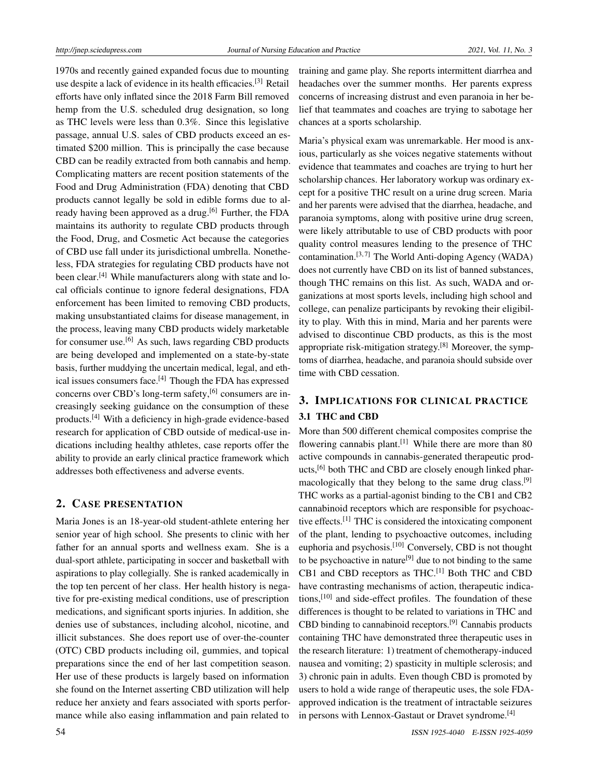1970s and recently gained expanded focus due to mounting use despite a lack of evidence in its health efficacies.[\[3\]](#page-2-2) Retail efforts have only inflated since the 2018 Farm Bill removed hemp from the U.S. scheduled drug designation, so long as THC levels were less than 0.3%. Since this legislative passage, annual U.S. sales of CBD products exceed an estimated \$200 million. This is principally the case because CBD can be readily extracted from both cannabis and hemp. Complicating matters are recent position statements of the Food and Drug Administration (FDA) denoting that CBD products cannot legally be sold in edible forms due to al-ready having been approved as a drug.<sup>[\[6\]](#page-2-5)</sup> Further, the FDA maintains its authority to regulate CBD products through the Food, Drug, and Cosmetic Act because the categories of CBD use fall under its jurisdictional umbrella. Nonetheless, FDA strategies for regulating CBD products have not been clear.<sup>[\[4\]](#page-2-3)</sup> While manufacturers along with state and local officials continue to ignore federal designations, FDA enforcement has been limited to removing CBD products, making unsubstantiated claims for disease management, in the process, leaving many CBD products widely marketable for consumer use.[\[6\]](#page-2-5) As such, laws regarding CBD products are being developed and implemented on a state-by-state basis, further muddying the uncertain medical, legal, and eth-ical issues consumers face.<sup>[\[4\]](#page-2-3)</sup> Though the FDA has expressed concerns over CBD's long-term safety,<sup>[\[6\]](#page-2-5)</sup> consumers are increasingly seeking guidance on the consumption of these products.[\[4\]](#page-2-3) With a deficiency in high-grade evidence-based research for application of CBD outside of medical-use indications including healthy athletes, case reports offer the ability to provide an early clinical practice framework which addresses both effectiveness and adverse events.

## 2. CASE PRESENTATION

Maria Jones is an 18-year-old student-athlete entering her senior year of high school. She presents to clinic with her father for an annual sports and wellness exam. She is a dual-sport athlete, participating in soccer and basketball with aspirations to play collegially. She is ranked academically in the top ten percent of her class. Her health history is negative for pre-existing medical conditions, use of prescription medications, and significant sports injuries. In addition, she denies use of substances, including alcohol, nicotine, and illicit substances. She does report use of over-the-counter (OTC) CBD products including oil, gummies, and topical preparations since the end of her last competition season. Her use of these products is largely based on information she found on the Internet asserting CBD utilization will help reduce her anxiety and fears associated with sports performance while also easing inflammation and pain related to

training and game play. She reports intermittent diarrhea and headaches over the summer months. Her parents express concerns of increasing distrust and even paranoia in her belief that teammates and coaches are trying to sabotage her chances at a sports scholarship.

Maria's physical exam was unremarkable. Her mood is anxious, particularly as she voices negative statements without evidence that teammates and coaches are trying to hurt her scholarship chances. Her laboratory workup was ordinary except for a positive THC result on a urine drug screen. Maria and her parents were advised that the diarrhea, headache, and paranoia symptoms, along with positive urine drug screen, were likely attributable to use of CBD products with poor quality control measures lending to the presence of THC contamination.<sup>[\[3,](#page-2-2)[7\]](#page-2-6)</sup> The World Anti-doping Agency (WADA) does not currently have CBD on its list of banned substances, though THC remains on this list. As such, WADA and organizations at most sports levels, including high school and college, can penalize participants by revoking their eligibility to play. With this in mind, Maria and her parents were advised to discontinue CBD products, as this is the most appropriate risk-mitigation strategy.[\[8\]](#page-3-0) Moreover, the symptoms of diarrhea, headache, and paranoia should subside over time with CBD cessation.

# 3. IMPLICATIONS FOR CLINICAL PRACTICE 3.1 THC and CBD

More than 500 different chemical composites comprise the flowering cannabis plant.<sup>[\[1\]](#page-2-0)</sup> While there are more than 80 active compounds in cannabis-generated therapeutic prod-ucts,<sup>[\[6\]](#page-2-5)</sup> both THC and CBD are closely enough linked phar-macologically that they belong to the same drug class.<sup>[\[9\]](#page-3-1)</sup> THC works as a partial-agonist binding to the CB1 and CB2 cannabinoid receptors which are responsible for psychoactive effects.[\[1\]](#page-2-0) THC is considered the intoxicating component of the plant, lending to psychoactive outcomes, including euphoria and psychosis.[\[10\]](#page-3-2) Conversely, CBD is not thought to be psychoactive in nature<sup>[\[9\]](#page-3-1)</sup> due to not binding to the same CB1 and CBD receptors as THC.<sup>[\[1\]](#page-2-0)</sup> Both THC and CBD have contrasting mechanisms of action, therapeutic indica-tions,<sup>[\[10\]](#page-3-2)</sup> and side-effect profiles. The foundation of these differences is thought to be related to variations in THC and CBD binding to cannabinoid receptors.<sup>[\[9\]](#page-3-1)</sup> Cannabis products containing THC have demonstrated three therapeutic uses in the research literature: 1) treatment of chemotherapy-induced nausea and vomiting; 2) spasticity in multiple sclerosis; and 3) chronic pain in adults. Even though CBD is promoted by users to hold a wide range of therapeutic uses, the sole FDAapproved indication is the treatment of intractable seizures in persons with Lennox-Gastaut or Dravet syndrome.<sup>[\[4\]](#page-2-3)</sup>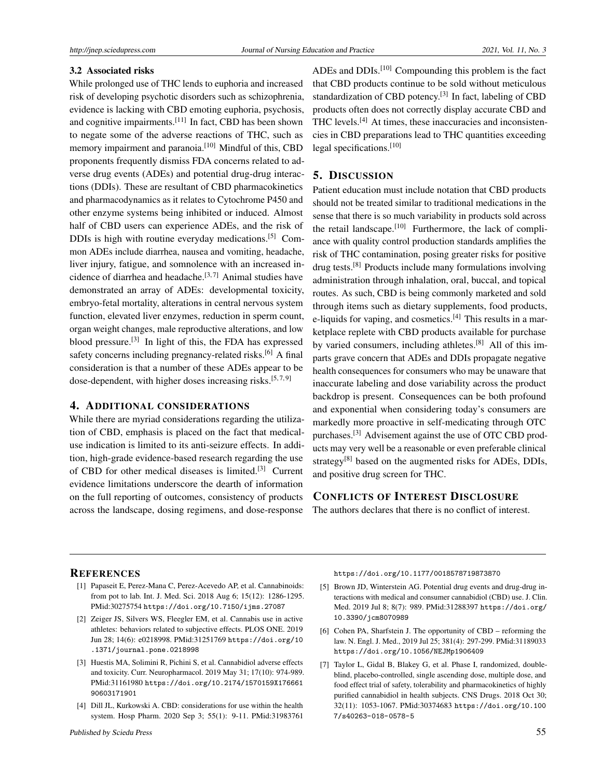#### 3.2 Associated risks

While prolonged use of THC lends to euphoria and increased risk of developing psychotic disorders such as schizophrenia, evidence is lacking with CBD emoting euphoria, psychosis, and cognitive impairments.<sup>[\[11\]](#page-3-3)</sup> In fact, CBD has been shown to negate some of the adverse reactions of THC, such as memory impairment and paranoia.<sup>[\[10\]](#page-3-2)</sup> Mindful of this, CBD proponents frequently dismiss FDA concerns related to adverse drug events (ADEs) and potential drug-drug interactions (DDIs). These are resultant of CBD pharmacokinetics and pharmacodynamics as it relates to Cytochrome P450 and other enzyme systems being inhibited or induced. Almost half of CBD users can experience ADEs, and the risk of DDIs is high with routine everyday medications.[\[5\]](#page-2-4) Common ADEs include diarrhea, nausea and vomiting, headache, liver injury, fatigue, and somnolence with an increased in-cidence of diarrhea and headache.<sup>[\[3,](#page-2-2)[7\]](#page-2-6)</sup> Animal studies have demonstrated an array of ADEs: developmental toxicity, embryo-fetal mortality, alterations in central nervous system function, elevated liver enzymes, reduction in sperm count, organ weight changes, male reproductive alterations, and low blood pressure.<sup>[\[3\]](#page-2-2)</sup> In light of this, the FDA has expressed safety concerns including pregnancy-related risks.<sup>[\[6\]](#page-2-5)</sup> A final consideration is that a number of these ADEs appear to be dose-dependent, with higher doses increasing risks.<sup>[\[5,](#page-2-4)[7,](#page-2-6)[9\]](#page-3-1)</sup>

### 4. ADDITIONAL CONSIDERATIONS

While there are myriad considerations regarding the utilization of CBD, emphasis is placed on the fact that medicaluse indication is limited to its anti-seizure effects. In addition, high-grade evidence-based research regarding the use of CBD for other medical diseases is limited.[\[3\]](#page-2-2) Current evidence limitations underscore the dearth of information on the full reporting of outcomes, consistency of products across the landscape, dosing regimens, and dose-response

ADEs and DDIs.[\[10\]](#page-3-2) Compounding this problem is the fact that CBD products continue to be sold without meticulous standardization of CBD potency.<sup>[\[3\]](#page-2-2)</sup> In fact, labeling of CBD products often does not correctly display accurate CBD and THC levels.[\[4\]](#page-2-3) At times, these inaccuracies and inconsistencies in CBD preparations lead to THC quantities exceeding legal specifications.<sup>[\[10\]](#page-3-2)</sup>

#### 5. DISCUSSION

Patient education must include notation that CBD products should not be treated similar to traditional medications in the sense that there is so much variability in products sold across the retail landscape.<sup>[\[10\]](#page-3-2)</sup> Furthermore, the lack of compliance with quality control production standards amplifies the risk of THC contamination, posing greater risks for positive drug tests.[\[8\]](#page-3-0) Products include many formulations involving administration through inhalation, oral, buccal, and topical routes. As such, CBD is being commonly marketed and sold through items such as dietary supplements, food products, e-liquids for vaping, and cosmetics. $[4]$  This results in a marketplace replete with CBD products available for purchase by varied consumers, including athletes.[\[8\]](#page-3-0) All of this imparts grave concern that ADEs and DDIs propagate negative health consequences for consumers who may be unaware that inaccurate labeling and dose variability across the product backdrop is present. Consequences can be both profound and exponential when considering today's consumers are markedly more proactive in self-medicating through OTC purchases.<sup>[\[3\]](#page-2-2)</sup> Advisement against the use of OTC CBD products may very well be a reasonable or even preferable clinical strategy<sup>[\[8\]](#page-3-0)</sup> based on the augmented risks for ADEs, DDIs, and positive drug screen for THC.

## CONFLICTS OF INTEREST DISCLOSURE

The authors declares that there is no conflict of interest.

# **REFERENCES**

- <span id="page-2-0"></span>[1] Papaseit E, Perez-Mana C, Perez-Acevedo AP, et al. Cannabinoids: from pot to lab. Int. J. Med. Sci. 2018 Aug 6; 15(12): 1286-1295. PMid:30275754 <https://doi.org/10.7150/ijms.27087>
- <span id="page-2-1"></span>[2] Zeiger JS, Silvers WS, Fleegler EM, et al. Cannabis use in active athletes: behaviors related to subjective effects. PLOS ONE. 2019 Jun 28; 14(6): e0218998. PMid:31251769 [https://doi.org/10](https://doi.org/10.1371/journal.pone.0218998) [.1371/journal.pone.0218998](https://doi.org/10.1371/journal.pone.0218998)
- <span id="page-2-2"></span>[3] Huestis MA, Solimini R, Pichini S, et al. Cannabidiol adverse effects and toxicity. Curr. Neuropharmacol. 2019 May 31; 17(10): 974-989. PMid:31161980 [https://doi.org/10.2174/1570159X176661](https://doi.org/10.2174/1570159X17666190603171901) [90603171901](https://doi.org/10.2174/1570159X17666190603171901)
- <span id="page-2-3"></span>[4] Dill JL, Kurkowski A. CBD: considerations for use within the health system. Hosp Pharm. 2020 Sep 3; 55(1): 9-11. PMid:31983761

<https://doi.org/10.1177/0018578719873870>

- <span id="page-2-4"></span>[5] Brown JD, Winterstein AG. Potential drug events and drug-drug interactions with medical and consumer cannabidiol (CBD) use. J. Clin. Med. 2019 Jul 8; 8(7): 989. PMid:31288397 [https://doi.org/](https://doi.org/10.3390/jcm8070989) [10.3390/jcm8070989](https://doi.org/10.3390/jcm8070989)
- <span id="page-2-5"></span>[6] Cohen PA, Sharfstein J. The opportunity of CBD – reforming the law. N. Engl. J. Med., 2019 Jul 25; 381(4): 297-299. PMid:31189033 <https://doi.org/10.1056/NEJMp1906409>
- <span id="page-2-6"></span>[7] Taylor L, Gidal B, Blakey G, et al. Phase I, randomized, doubleblind, placebo-controlled, single ascending dose, multiple dose, and food effect trial of safety, tolerability and pharmacokinetics of highly purified cannabidiol in health subjects. CNS Drugs. 2018 Oct 30; 32(11): 1053-1067. PMid:30374683 [https://doi.org/10.100](https://doi.org/10.1007/s40263-018-0578-5) [7/s40263-018-0578-5](https://doi.org/10.1007/s40263-018-0578-5)